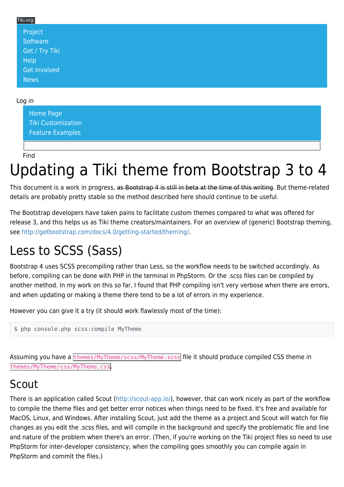| Tiki.org:      |  |  |
|----------------|--|--|
| Project        |  |  |
| Software       |  |  |
| Get / Try Tiki |  |  |
| Help           |  |  |
| Get Involved   |  |  |
| News           |  |  |

#### Log in

[Home Page](https://themes.tiki.org/Themes) [Tiki Customization](https://themes.tiki.org/Tiki-Customization) [Feature Examples](#page--1-0)

Find

# Updating a Tiki theme from Bootstrap 3 to 4

This document is a work in progress, as Bootstrap 4 is still in beta at the time of this writing. But theme-related details are probably pretty stable so the method described here should continue to be useful.

The Bootstrap developers have taken pains to facilitate custom themes compared to what was offered for release 3, and this helps us as Tiki theme creators/maintainers. For an overview of (generic) Bootstrap theming, see <http://getbootstrap.com/docs/4.0/getting-started/theming/>.

# Less to SCSS (Sass)

Bootstrap 4 uses SCSS precompiling rather than Less, so the workflow needs to be switched accordingly. As before, compiling can be done with PHP in the terminal in PhpStorm. Or the .scss files can be compiled by another method. In my work on this so far, I found that PHP compiling isn't very verbose when there are errors, and when updating or making a theme there tend to be a lot of errors in my experience.

However you can give it a try (it should work flawlessly most of the time):

\$ php console.php scss:compile MyTheme

Assuming you have a themes/MyTheme/scss/MyTheme.scss file it should produce compiled CSS theme in themes/MyTheme/css/MyTheme.css.

#### Scout

There is an application called Scout (<http://scout-app.io/>), however, that can work nicely as part of the workflow to compile the theme files and get better error notices when things need to be fixed. It's free and available for MacOS, Linux, and Windows. After installing Scout, just add the theme as a project and Scout will watch for file changes as you edit the .scss files, and will compile in the background and specify the problematic file and line and nature of the problem when there's an error. (Then, if you're working on the Tiki project files so need to use PhpStorm for inter-developer consistency, when the compiling goes smoothly you can compile again in PhpStorm and commit the files.)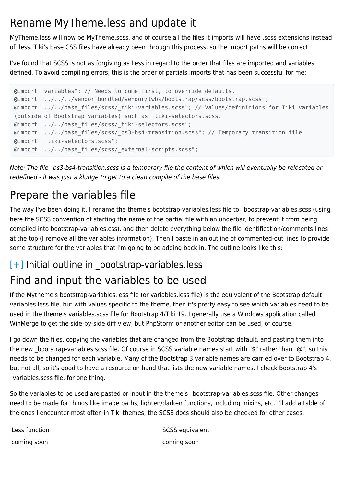### Rename MyTheme.less and update it

MyTheme.less will now be MyTheme.scss, and of course all the files it imports will have .scss extensions instead of .less. Tiki's base CSS files have already been through this process, so the import paths will be correct.

I've found that SCSS is not as forgiving as Less in regard to the order that files are imported and variables defined. To avoid compiling errors, this is the order of partials imports that has been successful for me:

```
@import "variables"; // Needs to come first, to override defaults.
@import "../../../vendor_bundled/vendor/twbs/bootstrap/scss/bootstrap.scss";
@import "../../base files/scss/ tiki-variables.scss"; // Values/definitions for Tiki variables
(outside of Bootstrap variables) such as _tiki-selectors.scss.
@import "../../base_files/scss/_tiki-selectors.scss";
@import "../../base_files/scss/_bs3-bs4-transition.scss"; // Temporary transition file
@import "_tiki-selectors.scss";
@import "../../base_files/scss/_external-scripts.scss";
```
Note: The file \_bs3-bs4-transition.scss is a temporary file the content of which will eventually be relocated or redefined - it was just a kludge to get to a clean compile of the base files.

# Prepare the variables file

The way I've been doing it, I rename the theme's bootstrap-variables.less file to \_boostrap-variables.scss (using here the SCSS convention of starting the name of the partial file with an underbar, to prevent it from being compiled into bootstrap-variables.css), and then delete everything below the file identification/comments lines at the top (I remove all the variables information). Then I paste in an outline of commented-out lines to provide some structure for the variables that I'm going to be adding back in. The outline looks like this:

# $[+]$  Initial outline in bootstrap-variables.less Find and input the variables to be used

If the Mytheme's bootstrap-variables.less file (or variables.less file) is the equivalent of the Bootstrap default variables.less file, but with values specific to the theme, then it's pretty easy to see which variables need to be used in the theme's variables.scss file for Bootstrap 4/Tiki 19. I generally use a Windows application called WinMerge to get the side-by-side diff view, but PhpStorm or another editor can be used, of course.

I go down the files, copying the variables that are changed from the Bootstrap default, and pasting them into the new \_bootstrap-variables.scss file. Of course in SCSS variable names start with "\$" rather than "@", so this needs to be changed for each variable. Many of the Bootstrap 3 variable names are carried over to Bootstrap 4, but not all, so it's good to have a resource on hand that lists the new variable names. I check Bootstrap 4's variables.scss file, for one thing.

So the variables to be used are pasted or input in the theme's \_bootstrap-variables.scss file. Other changes need to be made for things like image paths, lighten/darken functions, including mixins, etc. I'll add a table of the ones I encounter most often in Tiki themes; the SCSS docs should also be checked for other cases.

| Less function | SCSS equivalent |
|---------------|-----------------|
| coming soon   | coming soon     |